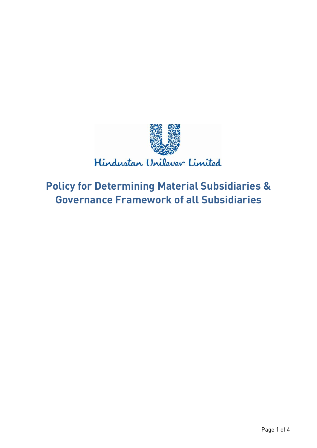

# **Policy for Determining Material Subsidiaries & Governance Framework of all Subsidiaries**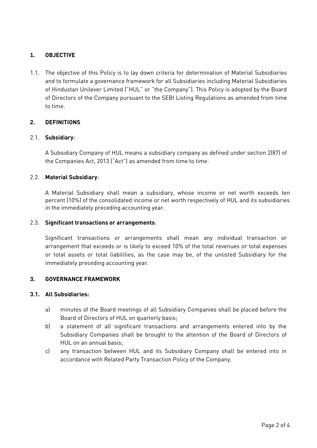## **1. OBJECTIVE**

1.1. The objective of this Policy is to lay down criteria for determination of Material Subsidiaries and to formulate a governance framework for all Subsidiaries including Material Subsidiaries of Hindustan Unilever Limited ("HUL" or "the Company"). This Policy is adopted by the Board of Directors of the Company pursuant to the SEBI Listing Regulations as amended from time to time.

## **2. DEFINITIONS**

#### 2.1. **Subsidiary**:

A Subsidiary Company of HUL means a subsidiary company as defined under section 2(87) of the Companies Act, 2013 ("Act") as amended from time to time.

#### 2.2. **Material Subsidiary**:

A Material Subsidiary shall mean a subsidiary, whose income or net worth exceeds ten percent (10%) of the consolidated income or net worth respectively of HUL and its subsidiaries in the immediately preceding accounting year.

#### 2.3. **Significant transactions or arrangements**:

Significant transactions or arrangements shall mean any individual transaction or arrangement that exceeds or is likely to exceed 10% of the total revenues or total expenses or total assets or total liabilities, as the case may be, of the unlisted Subsidiary for the immediately preceding accounting year.

#### **3. GOVERNANCE FRAMEWORK**

#### **3.1. All Subsidiaries:**

- a) minutes of the Board meetings of all Subsidiary Companies shall be placed before the Board of Directors of HUL on quarterly basis;
- b) a statement of all significant transactions and arrangements entered into by the Subsidiary Companies shall be brought to the attention of the Board of Directors of HUL on an annual basis;
- c) any transaction between HUL and its Subsidiary Company shall be entered into in accordance with Related Party Transaction Policy of the Company.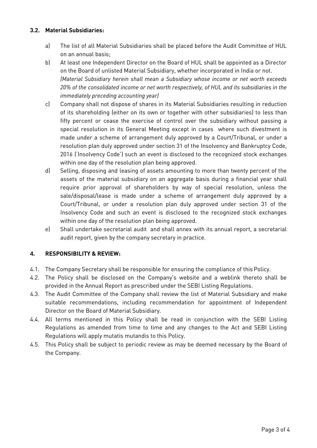#### **3.2. Material Subsidiaries:**

- a) The list of all Material Subsidiaries shall be placed before the Audit Committee of HUL on an annual basis;
- b) At least one Independent Director on the Board of HUL shall be appointed as a Director on the Board of unlisted Material Subsidiary, whether incorporated in India or not. *(Material Subsidiary herein shall mean a Subsidiary whose income or net worth exceeds 20% of the consolidated income or net worth respectively, of HUL and its subsidiaries in the immediately preceding accounting year)*
- c) Company shall not dispose of shares in its Material Subsidiaries resulting in reduction of its shareholding (either on its own or together with other subsidiaries) to less than fifty percent or cease the exercise of control over the subsidiary without passing a special resolution in its General Meeting except in cases where such divestment is made under a scheme of arrangement duly approved by a Court/Tribunal, or under a resolution plan duly approved under section 31 of the Insolvency and Bankruptcy Code, 2016 ('Insolvency Code') such an event is disclosed to the recognized stock exchanges within one day of the resolution plan being approved.
- d) Selling, disposing and leasing of assets amounting to more than twenty percent of the assets of the material subsidiary on an aggregate basis during a financial year shall require prior approval of shareholders by way of special resolution, unless the sale/disposal/lease is made under a scheme of arrangement duly approved by a Court/Tribunal, or under a resolution plan duly approved under section 31 of the Insolvency Code and such an event is disclosed to the recognized stock exchanges within one day of the resolution plan being approved.
- e) Shall undertake secretarial audit and shall annex with its annual report, a secretarial audit report, given by the company secretary in practice.

## **4. RESPONSIBILITY & REVIEW:**

- 4.1. The Company Secretary shall be responsible for ensuring the compliance of thisPolicy.
- 4.2. The Policy shall be disclosed on the Company's website and a weblink thereto shall be provided in the Annual Report as prescribed under the SEBI Listing Regulations.
- 4.3. The Audit Committee of the Company shall review the list of Material Subsidiary and make suitable recommendations, including recommendation for appointment of Independent Director on the Board of Material Subsidiary.
- 4.4. All terms mentioned in this Policy shall be read in conjunction with the SEBI Listing Regulations as amended from time to time and any changes to the Act and SEBI Listing Regulations will apply mutatis mutandis to this Policy.
- 4.5. This Policy shall be subject to periodic review as may be deemed necessary by the Board of the Company.